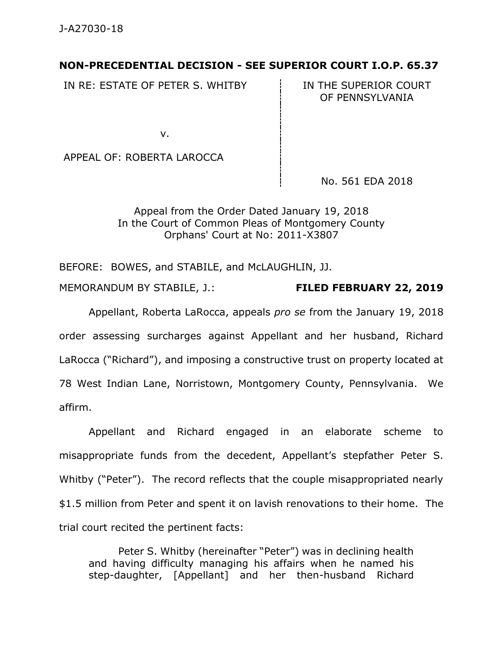## **NON-PRECEDENTIAL DECISION - SEE SUPERIOR COURT I.O.P. 65.37**

IN RE: ESTATE OF PETER S. WHITBY  $\overrightarrow{I}$  IN THE SUPERIOR COURT

OF PENNSYLVANIA

v.

APPEAL OF: ROBERTA LAROCCA

No. 561 EDA 2018

Appeal from the Order Dated January 19, 2018 In the Court of Common Pleas of Montgomery County Orphans' Court at No: 2011-X3807

BEFORE: BOWES, and STABILE, and McLAUGHLIN, JJ.

MEMORANDUM BY STABILE, J.: **FILED FEBRUARY 22, 2019**

Appellant, Roberta LaRocca, appeals *pro se* from the January 19, 2018 order assessing surcharges against Appellant and her husband, Richard LaRocca ("Richard"), and imposing a constructive trust on property located at 78 West Indian Lane, Norristown, Montgomery County, Pennsylvania. We affirm.

Appellant and Richard engaged in an elaborate scheme to misappropriate funds from the decedent, Appellant's stepfather Peter S. Whitby ("Peter"). The record reflects that the couple misappropriated nearly \$1.5 million from Peter and spent it on lavish renovations to their home. The trial court recited the pertinent facts:

Peter S. Whitby (hereinafter "Peter") was in declining health and having difficulty managing his affairs when he named his step-daughter, [Appellant] and her then-husband Richard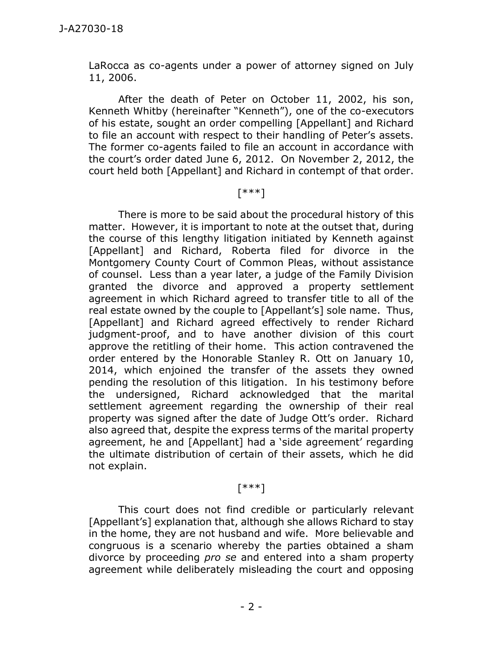LaRocca as co-agents under a power of attorney signed on July 11, 2006.

After the death of Peter on October 11, 2002, his son, Kenneth Whitby (hereinafter "Kenneth"), one of the co-executors of his estate, sought an order compelling [Appellant] and Richard to file an account with respect to their handling of Peter's assets. The former co-agents failed to file an account in accordance with the court's order dated June 6, 2012. On November 2, 2012, the court held both [Appellant] and Richard in contempt of that order.

# [\*\*\*]

There is more to be said about the procedural history of this matter. However, it is important to note at the outset that, during the course of this lengthy litigation initiated by Kenneth against [Appellant] and Richard, Roberta filed for divorce in the Montgomery County Court of Common Pleas, without assistance of counsel. Less than a year later, a judge of the Family Division granted the divorce and approved a property settlement agreement in which Richard agreed to transfer title to all of the real estate owned by the couple to [Appellant's] sole name. Thus, [Appellant] and Richard agreed effectively to render Richard judgment-proof, and to have another division of this court approve the retitling of their home. This action contravened the order entered by the Honorable Stanley R. Ott on January 10, 2014, which enjoined the transfer of the assets they owned pending the resolution of this litigation. In his testimony before the undersigned, Richard acknowledged that the marital settlement agreement regarding the ownership of their real property was signed after the date of Judge Ott's order. Richard also agreed that, despite the express terms of the marital property agreement, he and [Appellant] had a 'side agreement' regarding the ultimate distribution of certain of their assets, which he did not explain.

## [\*\*\*]

This court does not find credible or particularly relevant [Appellant's] explanation that, although she allows Richard to stay in the home, they are not husband and wife. More believable and congruous is a scenario whereby the parties obtained a sham divorce by proceeding *pro se* and entered into a sham property agreement while deliberately misleading the court and opposing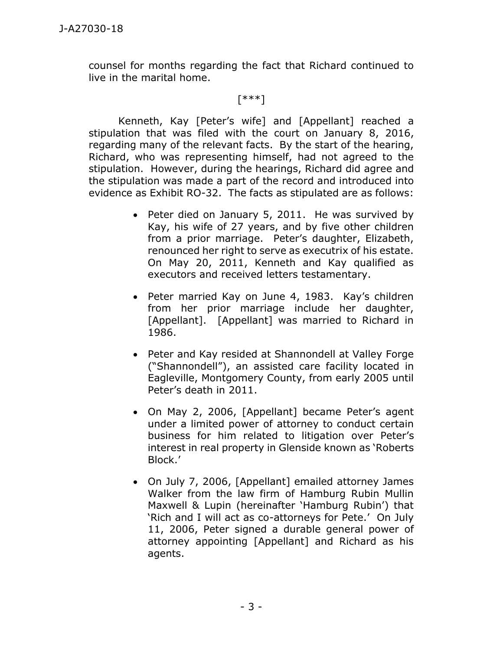counsel for months regarding the fact that Richard continued to live in the marital home.

#### [\*\*\*]

Kenneth, Kay [Peter's wife] and [Appellant] reached a stipulation that was filed with the court on January 8, 2016, regarding many of the relevant facts. By the start of the hearing, Richard, who was representing himself, had not agreed to the stipulation. However, during the hearings, Richard did agree and the stipulation was made a part of the record and introduced into evidence as Exhibit RO-32. The facts as stipulated are as follows:

- Peter died on January 5, 2011. He was survived by Kay, his wife of 27 years, and by five other children from a prior marriage. Peter's daughter, Elizabeth, renounced her right to serve as executrix of his estate. On May 20, 2011, Kenneth and Kay qualified as executors and received letters testamentary.
- Peter married Kay on June 4, 1983. Kay's children from her prior marriage include her daughter, [Appellant]. [Appellant] was married to Richard in 1986.
- Peter and Kay resided at Shannondell at Valley Forge ("Shannondell"), an assisted care facility located in Eagleville, Montgomery County, from early 2005 until Peter's death in 2011.
- On May 2, 2006, [Appellant] became Peter's agent under a limited power of attorney to conduct certain business for him related to litigation over Peter's interest in real property in Glenside known as 'Roberts Block.'
- On July 7, 2006, [Appellant] emailed attorney James Walker from the law firm of Hamburg Rubin Mullin Maxwell & Lupin (hereinafter 'Hamburg Rubin') that 'Rich and I will act as co-attorneys for Pete.' On July 11, 2006, Peter signed a durable general power of attorney appointing [Appellant] and Richard as his agents.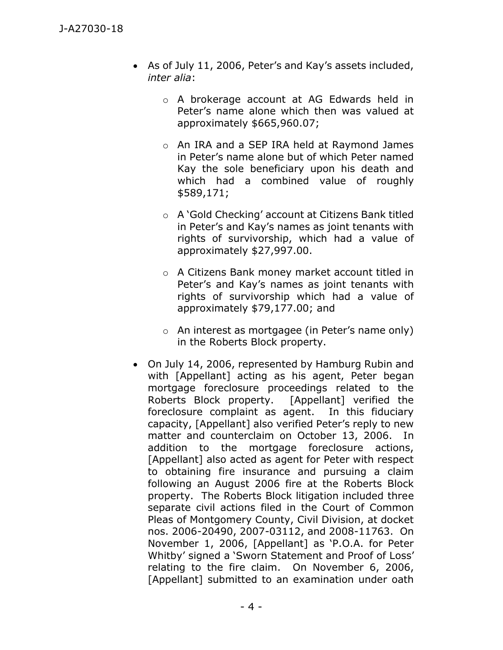- As of July 11, 2006, Peter's and Kay's assets included, *inter alia*:
	- o A brokerage account at AG Edwards held in Peter's name alone which then was valued at approximately \$665,960.07;
	- o An IRA and a SEP IRA held at Raymond James in Peter's name alone but of which Peter named Kay the sole beneficiary upon his death and which had a combined value of roughly \$589,171;
	- o A 'Gold Checking' account at Citizens Bank titled in Peter's and Kay's names as joint tenants with rights of survivorship, which had a value of approximately \$27,997.00.
	- o A Citizens Bank money market account titled in Peter's and Kay's names as joint tenants with rights of survivorship which had a value of approximately \$79,177.00; and
	- o An interest as mortgagee (in Peter's name only) in the Roberts Block property.
- On July 14, 2006, represented by Hamburg Rubin and with [Appellant] acting as his agent, Peter began mortgage foreclosure proceedings related to the Roberts Block property. [Appellant] verified the foreclosure complaint as agent. In this fiduciary capacity, [Appellant] also verified Peter's reply to new matter and counterclaim on October 13, 2006. In addition to the mortgage foreclosure actions, [Appellant] also acted as agent for Peter with respect to obtaining fire insurance and pursuing a claim following an August 2006 fire at the Roberts Block property. The Roberts Block litigation included three separate civil actions filed in the Court of Common Pleas of Montgomery County, Civil Division, at docket nos. 2006-20490, 2007-03112, and 2008-11763. On November 1, 2006, [Appellant] as 'P.O.A. for Peter Whitby' signed a 'Sworn Statement and Proof of Loss' relating to the fire claim. On November 6, 2006, [Appellant] submitted to an examination under oath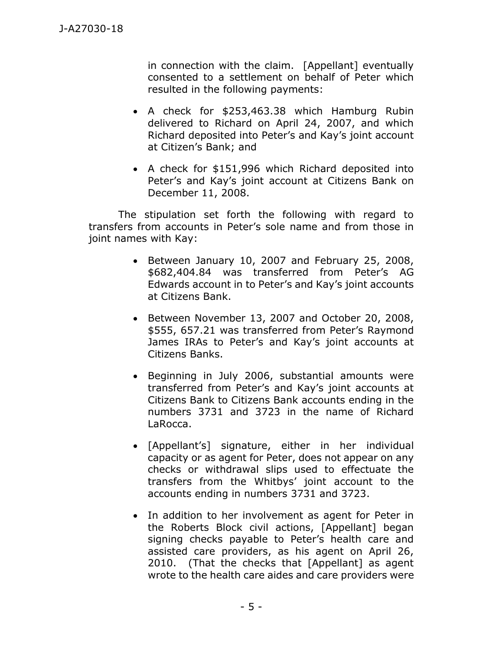in connection with the claim. [Appellant] eventually consented to a settlement on behalf of Peter which resulted in the following payments:

- A check for \$253,463.38 which Hamburg Rubin delivered to Richard on April 24, 2007, and which Richard deposited into Peter's and Kay's joint account at Citizen's Bank; and
- A check for \$151,996 which Richard deposited into Peter's and Kay's joint account at Citizens Bank on December 11, 2008.

The stipulation set forth the following with regard to transfers from accounts in Peter's sole name and from those in joint names with Kay:

- Between January 10, 2007 and February 25, 2008, \$682,404.84 was transferred from Peter's AG Edwards account in to Peter's and Kay's joint accounts at Citizens Bank.
- Between November 13, 2007 and October 20, 2008, \$555, 657.21 was transferred from Peter's Raymond James IRAs to Peter's and Kay's joint accounts at Citizens Banks.
- Beginning in July 2006, substantial amounts were transferred from Peter's and Kay's joint accounts at Citizens Bank to Citizens Bank accounts ending in the numbers 3731 and 3723 in the name of Richard LaRocca.
- [Appellant's] signature, either in her individual capacity or as agent for Peter, does not appear on any checks or withdrawal slips used to effectuate the transfers from the Whitbys' joint account to the accounts ending in numbers 3731 and 3723.
- In addition to her involvement as agent for Peter in the Roberts Block civil actions, [Appellant] began signing checks payable to Peter's health care and assisted care providers, as his agent on April 26, 2010. (That the checks that [Appellant] as agent wrote to the health care aides and care providers were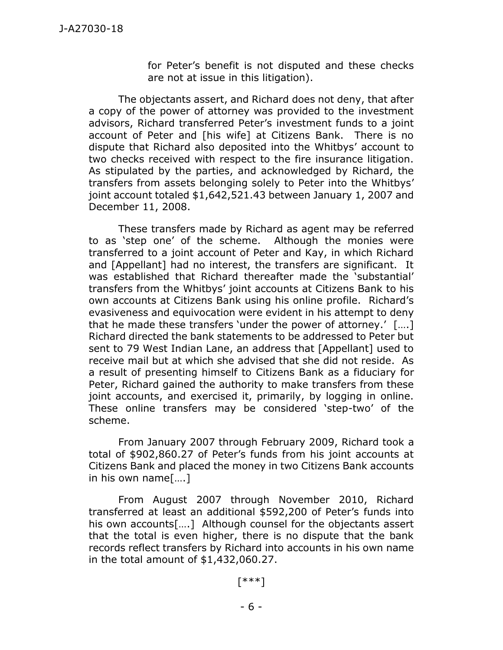for Peter's benefit is not disputed and these checks are not at issue in this litigation).

The objectants assert, and Richard does not deny, that after a copy of the power of attorney was provided to the investment advisors, Richard transferred Peter's investment funds to a joint account of Peter and [his wife] at Citizens Bank. There is no dispute that Richard also deposited into the Whitbys' account to two checks received with respect to the fire insurance litigation. As stipulated by the parties, and acknowledged by Richard, the transfers from assets belonging solely to Peter into the Whitbys' joint account totaled \$1,642,521.43 between January 1, 2007 and December 11, 2008.

These transfers made by Richard as agent may be referred to as 'step one' of the scheme. Although the monies were transferred to a joint account of Peter and Kay, in which Richard and [Appellant] had no interest, the transfers are significant. It was established that Richard thereafter made the 'substantial' transfers from the Whitbys' joint accounts at Citizens Bank to his own accounts at Citizens Bank using his online profile. Richard's evasiveness and equivocation were evident in his attempt to deny that he made these transfers 'under the power of attorney.' [….] Richard directed the bank statements to be addressed to Peter but sent to 79 West Indian Lane, an address that [Appellant] used to receive mail but at which she advised that she did not reside. As a result of presenting himself to Citizens Bank as a fiduciary for Peter, Richard gained the authority to make transfers from these joint accounts, and exercised it, primarily, by logging in online. These online transfers may be considered 'step-two' of the scheme.

From January 2007 through February 2009, Richard took a total of \$902,860.27 of Peter's funds from his joint accounts at Citizens Bank and placed the money in two Citizens Bank accounts in his own name[….]

From August 2007 through November 2010, Richard transferred at least an additional \$592,200 of Peter's funds into his own accounts[….] Although counsel for the objectants assert that the total is even higher, there is no dispute that the bank records reflect transfers by Richard into accounts in his own name in the total amount of \$1,432,060.27.

#### [\*\*\*]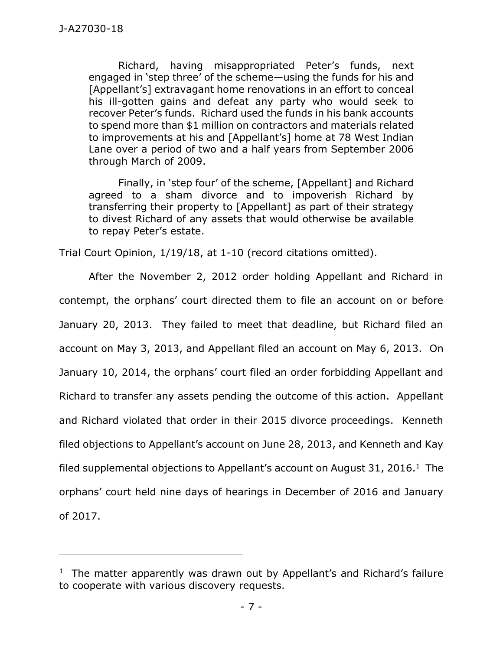Richard, having misappropriated Peter's funds, next engaged in 'step three' of the scheme—using the funds for his and [Appellant's] extravagant home renovations in an effort to conceal his ill-gotten gains and defeat any party who would seek to recover Peter's funds. Richard used the funds in his bank accounts to spend more than \$1 million on contractors and materials related to improvements at his and [Appellant's] home at 78 West Indian Lane over a period of two and a half years from September 2006 through March of 2009.

Finally, in 'step four' of the scheme, [Appellant] and Richard agreed to a sham divorce and to impoverish Richard by transferring their property to [Appellant] as part of their strategy to divest Richard of any assets that would otherwise be available to repay Peter's estate.

Trial Court Opinion, 1/19/18, at 1-10 (record citations omitted).

After the November 2, 2012 order holding Appellant and Richard in contempt, the orphans' court directed them to file an account on or before January 20, 2013. They failed to meet that deadline, but Richard filed an account on May 3, 2013, and Appellant filed an account on May 6, 2013. On January 10, 2014, the orphans' court filed an order forbidding Appellant and Richard to transfer any assets pending the outcome of this action. Appellant and Richard violated that order in their 2015 divorce proceedings. Kenneth filed objections to Appellant's account on June 28, 2013, and Kenneth and Kay filed supplemental objections to Appellant's account on August 31, 2016. $^1$  The orphans' court held nine days of hearings in December of 2016 and January of 2017.

\_\_\_\_\_\_\_\_\_\_\_\_\_\_\_\_\_\_\_\_\_\_\_\_\_\_\_\_\_\_\_\_\_\_\_\_\_\_\_\_\_\_\_\_

<sup>&</sup>lt;sup>1</sup> The matter apparently was drawn out by Appellant's and Richard's failure to cooperate with various discovery requests.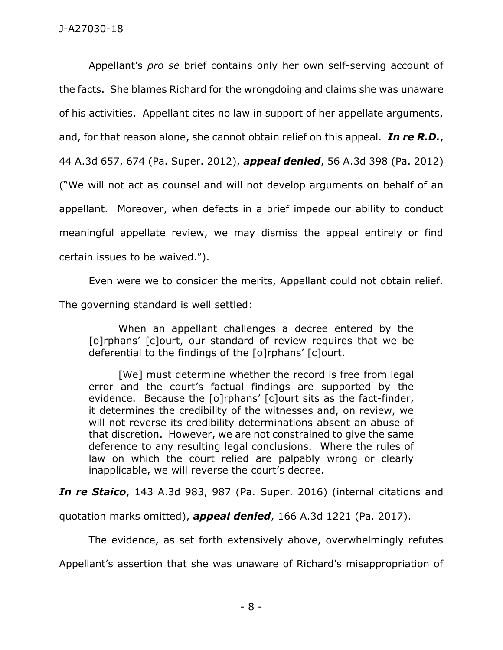Appellant's *pro se* brief contains only her own self-serving account of the facts. She blames Richard for the wrongdoing and claims she was unaware of his activities. Appellant cites no law in support of her appellate arguments, and, for that reason alone, she cannot obtain relief on this appeal. *In re R.D.*, 44 A.3d 657, 674 (Pa. Super. 2012), *appeal denied*, 56 A.3d 398 (Pa. 2012) ("We will not act as counsel and will not develop arguments on behalf of an appellant. Moreover, when defects in a brief impede our ability to conduct meaningful appellate review, we may dismiss the appeal entirely or find certain issues to be waived.").

Even were we to consider the merits, Appellant could not obtain relief.

The governing standard is well settled:

When an appellant challenges a decree entered by the [o]rphans' [c]ourt, our standard of review requires that we be deferential to the findings of the [o]rphans' [c]ourt.

[We] must determine whether the record is free from legal error and the court's factual findings are supported by the evidence. Because the [o]rphans' [c]ourt sits as the fact-finder, it determines the credibility of the witnesses and, on review, we will not reverse its credibility determinations absent an abuse of that discretion. However, we are not constrained to give the same deference to any resulting legal conclusions. Where the rules of law on which the court relied are palpably wrong or clearly inapplicable, we will reverse the court's decree.

*In re Staico*, 143 A.3d 983, 987 (Pa. Super. 2016) (internal citations and

quotation marks omitted), *appeal denied*, 166 A.3d 1221 (Pa. 2017).

The evidence, as set forth extensively above, overwhelmingly refutes

Appellant's assertion that she was unaware of Richard's misappropriation of